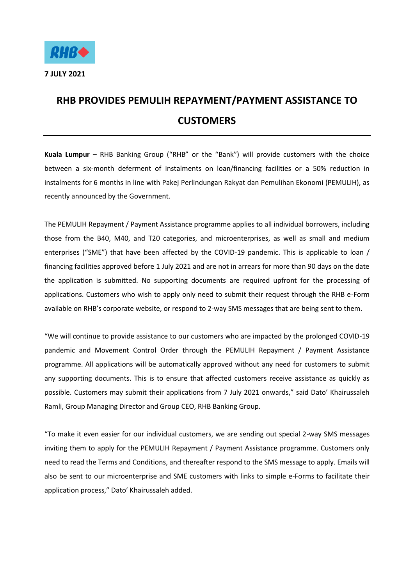

## **RHB PROVIDES PEMULIH REPAYMENT/PAYMENT ASSISTANCE TO CUSTOMERS**

**Kuala Lumpur –** RHB Banking Group ("RHB" or the "Bank") will provide customers with the choice between a six-month deferment of instalments on loan/financing facilities or a 50% reduction in instalments for 6 months in line with Pakej Perlindungan Rakyat dan Pemulihan Ekonomi (PEMULIH), as recently announced by the Government.

The PEMULIH Repayment / Payment Assistance programme applies to all individual borrowers, including those from the B40, M40, and T20 categories, and microenterprises, as well as small and medium enterprises ("SME") that have been affected by the COVID-19 pandemic. This is applicable to loan / financing facilities approved before 1 July 2021 and are not in arrears for more than 90 days on the date the application is submitted. No supporting documents are required upfront for the processing of applications. Customers who wish to apply only need to submit their request through the RHB e-Form available on RHB's corporate website, or respond to 2-way SMS messages that are being sent to them.

"We will continue to provide assistance to our customers who are impacted by the prolonged COVID-19 pandemic and Movement Control Order through the PEMULIH Repayment / Payment Assistance programme. All applications will be automatically approved without any need for customers to submit any supporting documents. This is to ensure that affected customers receive assistance as quickly as possible. Customers may submit their applications from 7 July 2021 onwards," said Dato' Khairussaleh Ramli, Group Managing Director and Group CEO, RHB Banking Group.

"To make it even easier for our individual customers, we are sending out special 2-way SMS messages inviting them to apply for the PEMULIH Repayment / Payment Assistance programme. Customers only need to read the Terms and Conditions, and thereafter respond to the SMS message to apply. Emails will also be sent to our microenterprise and SME customers with links to simple e-Forms to facilitate their application process," Dato' Khairussaleh added.